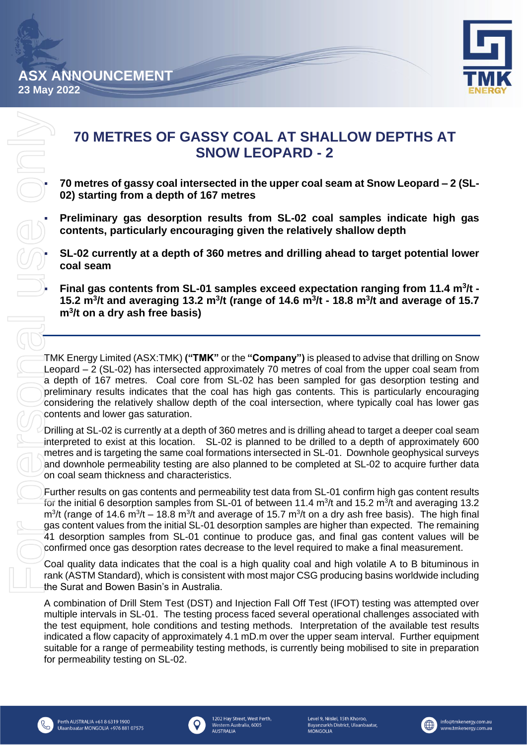

# **70 METRES OF GASSY COAL AT SHALLOW DEPTHS AT SNOW LEOPARD - 2**

▪ **70 metres of gassy coal intersected in the upper coal seam at Snow Leopard – 2 (SL-02) starting from a depth of 167 metres**

▪ **Preliminary gas desorption results from SL-02 coal samples indicate high gas contents, particularly encouraging given the relatively shallow depth** 

▪ **SL-02 currently at a depth of 360 metres and drilling ahead to target potential lower coal seam** 

▪ **Final gas contents from SL-01 samples exceed expectation ranging from 11.4 m<sup>3</sup> /t - 15.2 m<sup>3</sup> /t and averaging 13.2 m<sup>3</sup> /t (range of 14.6 m<sup>3</sup> /t - 18.8 m<sup>3</sup> /t and average of 15.7 m<sup>3</sup> /t on a dry ash free basis)** 

TMK Energy Limited (ASX:TMK) **("TMK"** or the **"Company")** is pleased to advise that drilling on Snow Leopard – 2 (SL-02) has intersected approximately 70 metres of coal from the upper coal seam from a depth of 167 metres. Coal core from SL-02 has been sampled for gas desorption testing and preliminary results indicates that the coal has high gas contents. This is particularly encouraging considering the relatively shallow depth of the coal intersection, where typically coal has lower gas contents and lower gas saturation.

Drilling at SL-02 is currently at a depth of 360 metres and is drilling ahead to target a deeper coal seam interpreted to exist at this location. SL-02 is planned to be drilled to a depth of approximately 600 metres and is targeting the same coal formations intersected in SL-01. Downhole geophysical surveys and downhole permeability testing are also planned to be completed at SL-02 to acquire further data on coal seam thickness and characteristics.

Further results on gas contents and permeability test data from SL-01 confirm high gas content results for the initial 6 desorption samples from SL-01 of between 11.4 m<sup>3</sup>/t and 15.2 m<sup>3</sup>/t and averaging 13.2  $m^3$ /t (range of 14.6  $m^3$ /t – 18.8 m<sup>3</sup>/t and average of 15.7 m<sup>3</sup>/t on a dry ash free basis). The high final gas content values from the initial SL-01 desorption samples are higher than expected. The remaining 41 desorption samples from SL-01 continue to produce gas, and final gas content values will be confirmed once gas desorption rates decrease to the level required to make a final measurement.

Coal quality data indicates that the coal is a high quality coal and high volatile A to B bituminous in rank (ASTM Standard), which is consistent with most major CSG producing basins worldwide including the Surat and Bowen Basin's in Australia.

A combination of Drill Stem Test (DST) and Injection Fall Off Test (IFOT) testing was attempted over multiple intervals in SL-01. The testing process faced several operational challenges associated with the test equipment, hole conditions and testing methods. Interpretation of the available test results indicated a flow capacity of approximately 4.1 mD.m over the upper seam interval. Further equipment suitable for a range of permeability testing methods, is currently being mobilised to site in preparation for permeability testing on SL-02.